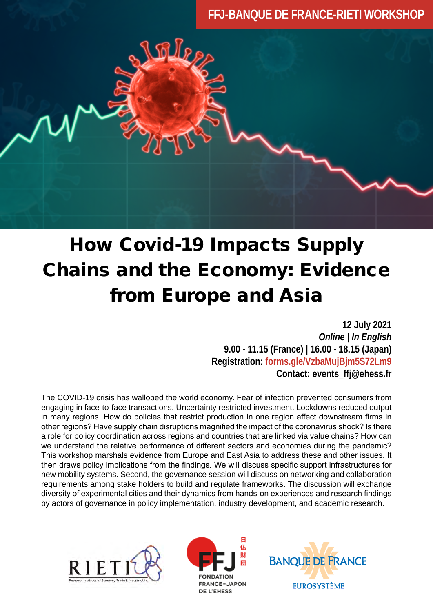# **FFJ-BANQUE DE FRANCE-RIETI WORKSHOP**



# How Covid-19 Impacts Supply Chains and the Economy: Evidence from Europe and Asia

**12 July 2021**  *Online | In English* **9.00 - 11.15 (France) | 16.00 - 18.15 (Japan) Registration: [forms.gle/VzbaMujBjm5S72Lm9](https://forms.gle/oVXVMxP8cpDVhLgJ6)  Contact: events\_ffj@ehess.fr**

The COVID-19 crisis has walloped the world economy. Fear of infection prevented consumers from engaging in face-to-face transactions. Uncertainty restricted investment. Lockdowns reduced output in many regions. How do policies that restrict production in one region affect downstream firms in other regions? Have supply chain disruptions magnified the impact of the coronavirus shock? Is there a role for policy coordination across regions and countries that are linked via value chains? How can we understand the relative performance of different sectors and economies during the pandemic? This workshop marshals evidence from Europe and East Asia to address these and other issues. It then draws policy implications from the findings. We will discuss specific support infrastructures for new mobility systems. Second, the governance session will discuss on networking and collaboration requirements among stake holders to build and regulate frameworks. The discussion will exchange diversity of experimental cities and their dynamics from hands-on experiences and research findings by actors of governance in policy implementation, industry development, and academic research.





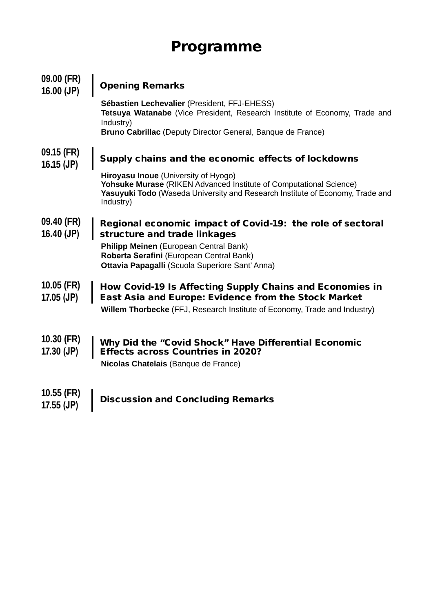# Programme

| 09.00 (FR)<br>$16.00$ (JP)   | <b>Opening Remarks</b>                                                                                                                                                                                          |
|------------------------------|-----------------------------------------------------------------------------------------------------------------------------------------------------------------------------------------------------------------|
|                              | Sébastien Lechevalier (President, FFJ-EHESS)<br>Tetsuya Watanabe (Vice President, Research Institute of Economy, Trade and<br>Industry)<br><b>Bruno Cabrillac</b> (Deputy Director General, Banque de France)   |
| 09.15 (FR)<br>$16.15$ (JP)   | Supply chains and the economic effects of lockdowns                                                                                                                                                             |
|                              | <b>Hiroyasu Inoue</b> (University of Hyogo)<br>Yohsuke Murase (RIKEN Advanced Institute of Computational Science)<br>Yasuyuki Todo (Waseda University and Research Institute of Economy, Trade and<br>Industry) |
| 09.40 (FR)<br>$16.40$ (JP)   | Regional economic impact of Covid-19: the role of sectoral<br>structure and trade linkages                                                                                                                      |
|                              | <b>Philipp Meinen</b> (European Central Bank)<br>Roberta Serafini (European Central Bank)<br>Ottavia Papagalli (Scuola Superiore Sant' Anna)                                                                    |
| $10.05$ (FR)<br>$17.05$ (JP) | How Covid-19 Is Affecting Supply Chains and Economies in<br>East Asia and Europe: Evidence from the Stock Market                                                                                                |
|                              | <b>Willem Thorbecke</b> (FFJ, Research Institute of Economy, Trade and Industry)                                                                                                                                |
| $10.30$ (FR)<br>$17.30$ (JP) | Why Did the "Covid Shock" Have Differential Economic<br><b>Effects across Countries in 2020?</b><br>Nicolas Chatelais (Banque de France)                                                                        |
| $10.55$ (FR)<br>$17.55$ (JP) | <b>Discussion and Concluding Remarks</b>                                                                                                                                                                        |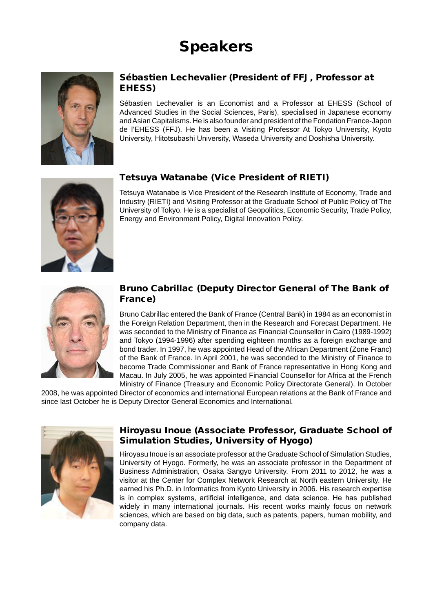# Speakers



#### Sébastien Lechevalier (President of FFJ, Professor at EHESS)

Sébastien Lechevalier is an Economist and a Professor at EHESS (School of Advanced Studies in the Social Sciences, Paris), specialised in Japanese economy and Asian Capitalisms. He is also founder and president of the Fondation France-Japon de l'EHESS (FFJ). He has been a Visiting Professor At Tokyo University, Kyoto University, Hitotsubashi University, Waseda University and Doshisha University.

# Tetsuya Watanabe (Vice President of RIETI)

Tetsuya Watanabe is Vice President of the Research Institute of Economy, Trade and Industry (RIETI) and Visiting Professor at the Graduate School of Public Policy of The University of Tokyo. He is a specialist of Geopolitics, Economic Security, Trade Policy, Energy and Environment Policy, Digital Innovation Policy.





#### Bruno Cabrillac (Deputy Director General of The Bank of France)

Bruno Cabrillac entered the Bank of France (Central Bank) in 1984 as an economist in the Foreign Relation Department, then in the Research and Forecast Department. He was seconded to the Ministry of Finance as Financial Counsellor in Cairo (1989-1992) and Tokyo (1994-1996) after spending eighteen months as a foreign exchange and bond trader. In 1997, he was appointed Head of the African Department (Zone Franc) of the Bank of France. In April 2001, he was seconded to the Ministry of Finance to become Trade Commissioner and Bank of France representative in Hong Kong and Macau. In July 2005, he was appointed Financial Counsellor for Africa at the French Ministry of Finance (Treasury and Economic Policy Directorate General). In October

2008, he was appointed Director of economics and international European relations at the Bank of France and since last October he is Deputy Director General Economics and International.



#### Hiroyasu Inoue (Associate Professor, Graduate School of Simulation Studies, University of Hyogo)

Hiroyasu Inoue is an associate professor at the Graduate School of Simulation Studies, University of Hyogo. Formerly, he was an associate professor in the Department of Business Administration, Osaka Sangyo University. From 2011 to 2012, he was a visitor at the Center for Complex Network Research at North eastern University. He earned his Ph.D. in Informatics from Kyoto University in 2006. His research expertise is in complex systems, artificial intelligence, and data science. He has published widely in many international journals. His recent works mainly focus on network sciences, which are based on big data, such as patents, papers, human mobility, and company data.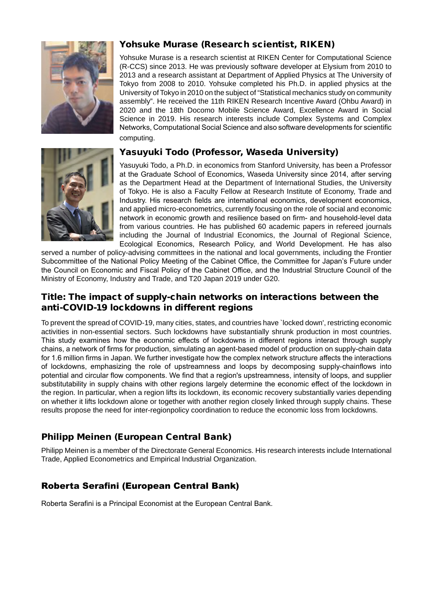

# Yohsuke Murase (Research scientist, RIKEN)

Yohsuke Murase is a research scientist at RIKEN Center for Computational Science (R-CCS) since 2013. He was previously software developer at Elysium from 2010 to 2013 and a research assistant at Department of Applied Physics at The University of Tokyo from 2008 to 2010. Yohsuke completed his Ph.D. in applied physics at the University of Tokyo in 2010 on the subject of "Statistical mechanics study on community assembly". He received the 11th RIKEN Research Incentive Award (Ohbu Award) in 2020 and the 18th Docomo Mobile Science Award, Excellence Award in Social Science in 2019. His research interests include Complex Systems and Complex Networks, Computational Social Science and also software developments for scientific computing.

#### Yasuyuki Todo (Professor, Waseda University)



Yasuyuki Todo, a Ph.D. in economics from Stanford University, has been a Professor at the Graduate School of Economics, Waseda University since 2014, after serving as the Department Head at the Department of International Studies, the University of Tokyo. He is also a Faculty Fellow at Research Institute of Economy, Trade and Industry. His research fields are international economics, development economics, and applied micro-econometrics, currently focusing on the role of social and economic network in economic growth and resilience based on firm- and household-level data from various countries. He has published 60 academic papers in refereed journals including the Journal of Industrial Economics, the Journal of Regional Science, Ecological Economics, Research Policy, and World Development. He has also

served a number of policy-advising committees in the national and local governments, including the Frontier Subcommittee of the National Policy Meeting of the Cabinet Office, the Committee for Japan's Future under the Council on Economic and Fiscal Policy of the Cabinet Office, and the Industrial Structure Council of the Ministry of Economy, Industry and Trade, and T20 Japan 2019 under G20.

#### Title: The impact of supply-chain networks on interactions between the anti-COVID-19 lockdowns in different regions

To prevent the spread of COVID-19, many cities, states, and countries have `locked down', restricting economic activities in non-essential sectors. Such lockdowns have substantially shrunk production in most countries. This study examines how the economic effects of lockdowns in different regions interact through supply chains, a network of firms for production, simulating an agent-based model of production on supply-chain data for 1.6 million firms in Japan. We further investigate how the complex network structure affects the interactions of lockdowns, emphasizing the role of upstreamness and loops by decomposing supply-chainflows into potential and circular flow components. We find that a region's upstreamness, intensity of loops, and supplier substitutability in supply chains with other regions largely determine the economic effect of the lockdown in the region. In particular, when a region lifts its lockdown, its economic recovery substantially varies depending on whether it lifts lockdown alone or together with another region closely linked through supply chains. These results propose the need for inter-regionpolicy coordination to reduce the economic loss from lockdowns.

# Philipp Meinen (European Central Bank)

Philipp Meinen is a member of the Directorate General Economics. His research interests include International Trade, Applied Econometrics and Empirical Industrial Organization.

# Roberta Serafini (European Central Bank)

Roberta Serafini is a Principal Economist at the European Central Bank.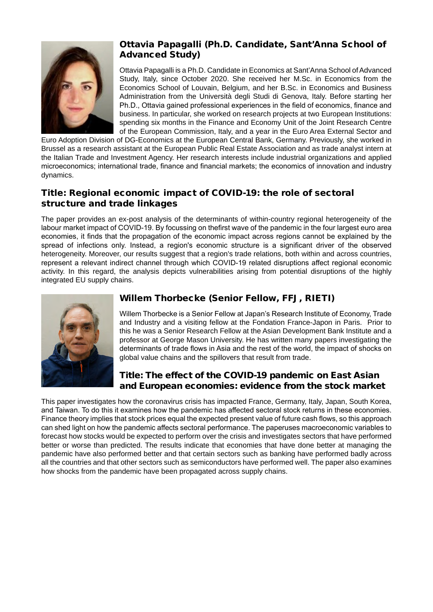

# Ottavia Papagalli (Ph.D. Candidate, Sant'Anna School of Advanced Study)

Ottavia Papagalli is a Ph.D. Candidate in Economics at Sant'Anna School of Advanced Study, Italy, since October 2020. She received her M.Sc. in Economics from the Economics School of Louvain, Belgium, and her B.Sc. in Economics and Business Administration from the Università degli Studi di Genova, Italy. Before starting her Ph.D., Ottavia gained professional experiences in the field of economics, finance and business. In particular, she worked on research projects at two European Institutions: spending six months in the Finance and Economy Unit of the Joint Research Centre of the European Commission, Italy, and a year in the Euro Area External Sector and

Euro Adoption Division of DG-Economics at the European Central Bank, Germany. Previously, she worked in Brussel as a research assistant at the European Public Real Estate Association and as trade analyst intern at the Italian Trade and Investment Agency. Her research interests include industrial organizations and applied microeconomics; international trade, finance and financial markets; the economics of innovation and industry dynamics.

#### Title: Regional economic impact of COVID-19: the role of sectoral structure and trade linkages

The paper provides an ex-post analysis of the determinants of within-country regional heterogeneity of the labour market impact of COVID-19. By focussing on thefirst wave of the pandemic in the four largest euro area economies, it finds that the propagation of the economic impact across regions cannot be explained by the spread of infections only. Instead, a region's economic structure is a significant driver of the observed heterogeneity. Moreover, our results suggest that a region's trade relations, both within and across countries, represent a relevant indirect channel through which COVID-19 related disruptions affect regional economic activity. In this regard, the analysis depicts vulnerabilities arising from potential disruptions of the highly integrated EU supply chains.



# Willem Thorbecke (Senior Fellow, FFJ, RIETI)

Willem Thorbecke is a Senior Fellow at Japan's Research Institute of Economy, Trade and Industry and a visiting fellow at the Fondation France-Japon in Paris. Prior to this he was a Senior Research Fellow at the Asian Development Bank Institute and a professor at George Mason University. He has written many papers investigating the determinants of trade flows in Asia and the rest of the world, the impact of shocks on global value chains and the spillovers that result from trade.

#### Title: The effect of the COVID-19 pandemic on East Asian and European economies: evidence from the stock market

This paper investigates how the coronavirus crisis has impacted France, Germany, Italy, Japan, South Korea, and Taiwan. To do this it examines how the pandemic has affected sectoral stock returns in these economies. Finance theory implies that stock prices equal the expected present value of future cash flows, so this approach can shed light on how the pandemic affects sectoral performance. The paperuses macroeconomic variables to forecast how stocks would be expected to perform over the crisis and investigates sectors that have performed better or worse than predicted. The results indicate that economies that have done better at managing the pandemic have also performed better and that certain sectors such as banking have performed badly across all the countries and that other sectors such as semiconductors have performed well. The paper also examines how shocks from the pandemic have been propagated across supply chains.